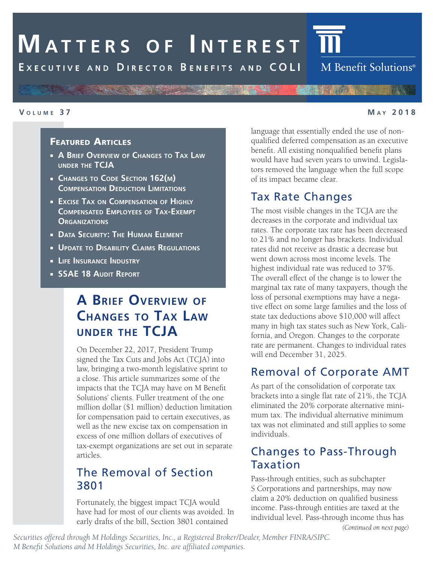# **MATTERS OF INTEREST**

EXECUTIVE AND DIRECTOR BENEFITS AND COLI

#### **V ol u m e 3 7 M <sup>a</sup> y 2 0 1 8**

#### Featured Articles

- **A Brief Overview of Changes to Tax Law under the TCJA**
- **Changes to Code Section 162(m) Compensation Deduction Limitations**

- **Excise Tax on Compensation of Highly Compensated Employees of Tax-Exempt Organizations**
- **Data Security: The Human Element**
- **Update to Disability Claims Regulations**
- **Life Insurance Industry**
- **SSAE 18 Audit Report**

# **A Brief Overview of Changes to Tax Law under the TCJA**

On December 22, 2017, President Trump signed the Tax Cuts and Jobs Act (TCJA) into law, bringing a two-month legislative sprint to a close. This article summarizes some of the impacts that the TCJA may have on M Benefit Solutions' clients. Fuller treatment of the one million dollar (\$1 million) deduction limitation for compensation paid to certain executives, as well as the new excise tax on compensation in excess of one million dollars of executives of tax-exempt organizations are set out in separate articles.

#### The Removal of Section 3801

Fortunately, the biggest impact TCJA would have had for most of our clients was avoided. In early drafts of the bill, Section 3801 contained

language that essentially ended the use of nonqualified deferred compensation as an executive benefit. All existing nonqualified benefit plans would have had seven years to unwind. Legislators removed the language when the full scope of its impact became clear.

#### Tax Rate Changes

The most visible changes in the TCJA are the decreases in the corporate and individual tax rates. The corporate tax rate has been decreased to 21% and no longer has brackets. Individual rates did not receive as drastic a decrease but went down across most income levels. The highest individual rate was reduced to 37%. The overall effect of the change is to lower the marginal tax rate of many taxpayers, though the loss of personal exemptions may have a negative effect on some large families and the loss of state tax deductions above \$10,000 will affect many in high tax states such as New York, California, and Oregon. Changes to the corporate rate are permanent. Changes to individual rates will end December 31, 2025.

#### Removal of Corporate AMT

As part of the consolidation of corporate tax brackets into a single flat rate of 21%, the TCJA eliminated the 20% corporate alternative minimum tax. The individual alternative minimum tax was not eliminated and still applies to some individuals.

#### Changes to Pass-Through Taxation

Pass-through entities, such as subchapter S Corporations and partnerships, may now claim a 20% deduction on qualified business income. Pass-through entities are taxed at the individual level. Pass-through income thus has

*(Continued on next page)*

*Securities offered through M Holdings Securities, Inc., a Registered Broker/Dealer, Member FINRA/SIPC. M Benefit Solutions and M Holdings Securities, Inc. are affiliated companies.*

M Benefit Solutions<sup>®</sup>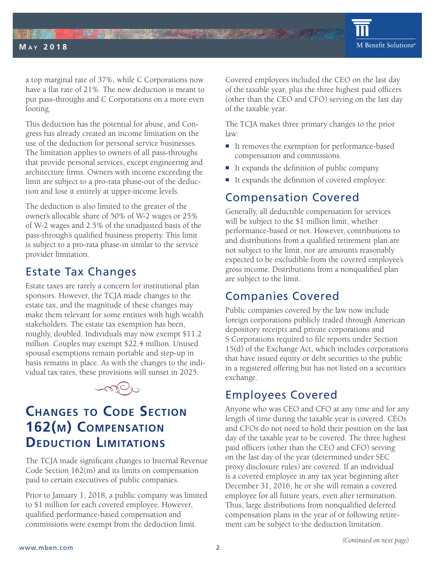

a top marginal rate of 37%, while C Corporations now have a flat rate of 21%. The new deduction is meant to put pass-throughs and C Corporations on a more even footing.

 $\mathbf{h} = \mathbf{h} \times \mathbf{h}$  ,  $\mathbf{h} = \mathbf{h} \times \mathbf{h}$  ,  $\mathbf{h} = \mathbf{h} \times \mathbf{h}$  ,  $\mathbf{h} = \mathbf{h} \times \mathbf{h}$  ,  $\mathbf{h} = \mathbf{h} \times \mathbf{h}$  ,  $\mathbf{h} = \mathbf{h} \times \mathbf{h}$  ,  $\mathbf{h} = \mathbf{h} \times \mathbf{h}$  ,  $\mathbf{h} = \mathbf{h} \times \mathbf{h}$  ,  $\mathbf{h} = \mathbf{h$ 

**THE SECTION** 

**M a y 2 0 1 8**

This deduction has the potential for abuse, and Congress has already created an income limitation on the use of the deduction for personal service businesses. The limitation applies to owners of all pass-throughs that provide personal services, except engineering and architecture firms. Owners with income exceeding the limit are subject to a pro-rata phase-out of the deduction and lose it entirely at upper-income levels.

The deduction is also limited to the greater of the owner's allocable share of 50% of W-2 wages or 25% of W-2 wages and 2.5% of the unadjusted basis of the pass-through's qualified business property. This limit is subject to a pro-rata phase-in similar to the service provider limitation.

## Estate Tax Changes

Estate taxes are rarely a concern for institutional plan sponsors. However, the TCJA made changes to the estate tax, and the magnitude of these changes may make them relevant for some entities with high wealth stakeholders. The estate tax exemption has been, roughly, doubled. Individuals may now exempt \$11.2 million. Couples may exempt \$22.4 million. Unused spousal exemptions remain portable and step-up in basis remains in place. As with the changes to the individual tax rates, these provisions will sunset in 2025.



# **Changes to Code Section 162(m) Compensation Deduction Limitations**

The TCJA made significant changes to Internal Revenue Code Section 162(m) and its limits on compensation paid to certain executives of public companies.

Prior to January 1, 2018, a public company was limited to \$1 million for each covered employee. However, qualified performance-based compensation and commissions were exempt from the deduction limit.

Covered employees included the CEO on the last day of the taxable year, plus the three highest paid officers (other than the CEO and CFO) serving on the last day of the taxable year.

The TCJA makes three primary changes to the prior law:

- It removes the exemption for performance-based compensation and commissions.
- It expands the definition of public company.
- It expands the definition of covered employee.

# Compensation Covered

Generally, all deductible compensation for services will be subject to the \$1 million limit, whether performance-based or not. However, contributions to and distributions from a qualified retirement plan are not subject to the limit, nor are amounts reasonably expected to be excludible from the covered employee's gross income. Distributions from a nonqualified plan are subject to the limit.

# Companies Covered

Public companies covered by the law now include foreign corporations publicly traded through American depository receipts and private corporations and S Corporations required to file reports under Section 15(d) of the Exchange Act, which includes corporations that have issued equity or debt securities to the public in a registered offering but has not listed on a securities exchange.

# Employees Covered

Anyone who was CEO and CFO at any time and for any length of time during the taxable year is covered. CEOs and CFOs do not need to hold their position on the last day of the taxable year to be covered. The three highest paid officers (other than the CEO and CFO) serving on the last day of the year (determined under SEC proxy disclosure rules) are covered. If an individual is a covered employee in any tax year beginning after December 31, 2016, he or she will remain a covered employee for all future years, even after termination. Thus, large distributions from nonqualified deferred compensation plans in the year of or following retirement can be subject to the deduction limitation.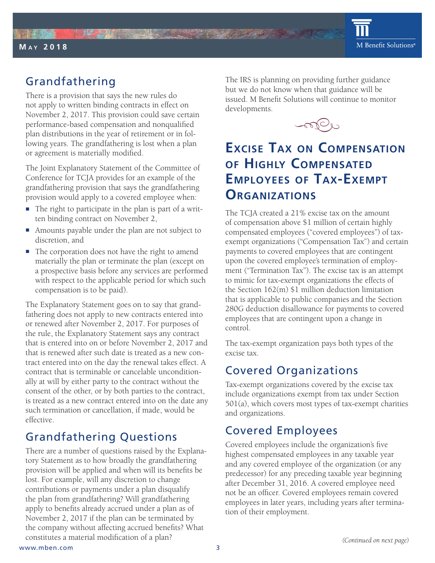

# Grandfathering

There is a provision that says the new rules do not apply to written binding contracts in effect on November 2, 2017. This provision could save certain performance-based compensation and nonqualified plan distributions in the year of retirement or in following years. The grandfathering is lost when a plan or agreement is materially modified.

The Joint Explanatory Statement of the Committee of Conference for TCJA provides for an example of the grandfathering provision that says the grandfathering provision would apply to a covered employee when:

- $\blacksquare$  The right to participate in the plan is part of a written binding contract on November 2,
- Amounts payable under the plan are not subject to discretion, and
- The corporation does not have the right to amend materially the plan or terminate the plan (except on a prospective basis before any services are performed with respect to the applicable period for which such compensation is to be paid).

The Explanatory Statement goes on to say that grandfathering does not apply to new contracts entered into or renewed after November 2, 2017. For purposes of the rule, the Explanatory Statement says any contract that is entered into on or before November 2, 2017 and that is renewed after such date is treated as a new contract entered into on the day the renewal takes effect. A contract that is terminable or cancelable unconditionally at will by either party to the contract without the consent of the other, or by both parties to the contract, is treated as a new contract entered into on the date any such termination or cancellation, if made, would be effective.

# Grandfathering Questions

There are a number of questions raised by the Explanatory Statement as to how broadly the grandfathering provision will be applied and when will its benefits be lost. For example, will any discretion to change contributions or payments under a plan disqualify the plan from grandfathering? Will grandfathering apply to benefits already accrued under a plan as of November 2, 2017 if the plan can be terminated by the company without affecting accrued benefits? What constitutes a material modification of a plan?

The IRS is planning on providing further guidance but we do not know when that guidance will be issued. M Benefit Solutions will continue to monitor developments.



#### **Excise Tax on Compensation of Highly Compensated Employees of Tax-Exempt Organizations**

The TCJA created a 21% excise tax on the amount of compensation above \$1 million of certain highly compensated employees ("covered employees") of taxexempt organizations ("Compensation Tax") and certain payments to covered employees that are contingent upon the covered employee's termination of employment ("Termination Tax"). The excise tax is an attempt to mimic for tax-exempt organizations the effects of the Section 162(m) \$1 million deduction limitation that is applicable to public companies and the Section 280G deduction disallowance for payments to covered employees that are contingent upon a change in control.

The tax-exempt organization pays both types of the excise tax.

# Covered Organizations

Tax-exempt organizations covered by the excise tax include organizations exempt from tax under Section 501(a), which covers most types of tax-exempt charities and organizations.

# Covered Employees

Covered employees include the organization's five highest compensated employees in any taxable year and any covered employee of the organization (or any predecessor) for any preceding taxable year beginning after December 31, 2016. A covered employee need not be an officer. Covered employees remain covered employees in later years, including years after termination of their employment.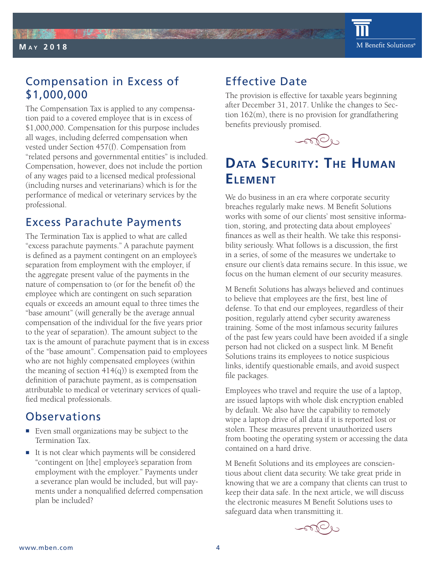# Compensation in Excess of \$1,000,000

**THE SECTION** 

**M a y 2 0 1 8**

The Compensation Tax is applied to any compensation paid to a covered employee that is in excess of \$1,000,000. Compensation for this purpose includes all wages, including deferred compensation when vested under Section 457(f). Compensation from "related persons and governmental entities" is included. Compensation, however, does not include the portion of any wages paid to a licensed medical professional (including nurses and veterinarians) which is for the performance of medical or veterinary services by the professional.

## Excess Parachute Payments

The Termination Tax is applied to what are called "excess parachute payments." A parachute payment is defined as a payment contingent on an employee's separation from employment with the employer, if the aggregate present value of the payments in the nature of compensation to (or for the benefit of) the employee which are contingent on such separation equals or exceeds an amount equal to three times the "base amount" (will generally be the average annual compensation of the individual for the five years prior to the year of separation). The amount subject to the tax is the amount of parachute payment that is in excess of the "base amount". Compensation paid to employees who are not highly compensated employees (within the meaning of section  $414(q)$ ) is exempted from the definition of parachute payment, as is compensation attributable to medical or veterinary services of qualified medical professionals.

#### Observations

- Even small organizations may be subject to the Termination Tax.
- It is not clear which payments will be considered "contingent on [the] employee's separation from employment with the employer." Payments under a severance plan would be included, but will payments under a nonqualified deferred compensation plan be included?

# Effective Date

The provision is effective for taxable years beginning after December 31, 2017. Unlike the changes to Section 162(m), there is no provision for grandfathering benefits previously promised.



# **Data Security : The Human Element**

We do business in an era where corporate security breaches regularly make news. M Benefit Solutions works with some of our clients' most sensitive information, storing, and protecting data about employees' finances as well as their health. We take this responsibility seriously. What follows is a discussion, the first in a series, of some of the measures we undertake to ensure our client's data remains secure. In this issue, we focus on the human element of our security measures.

M Benefit Solutions has always believed and continues to believe that employees are the first, best line of defense. To that end our employees, regardless of their position, regularly attend cyber security awareness training. Some of the most infamous security failures of the past few years could have been avoided if a single person had not clicked on a suspect link. M Benefit Solutions trains its employees to notice suspicious links, identify questionable emails, and avoid suspect file packages.

Employees who travel and require the use of a laptop, are issued laptops with whole disk encryption enabled by default. We also have the capability to remotely wipe a laptop drive of all data if it is reported lost or stolen. These measures prevent unauthorized users from booting the operating system or accessing the data contained on a hard drive.

M Benefit Solutions and its employees are conscientious about client data security. We take great pride in knowing that we are a company that clients can trust to keep their data safe. In the next article, we will discuss the electronic measures M Benefit Solutions uses to safeguard data when transmitting it.

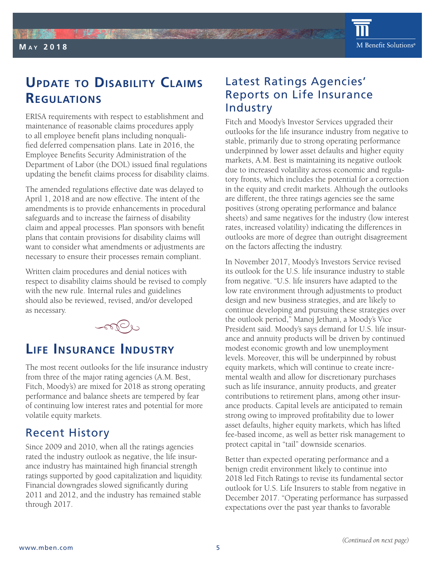M Benefit Solutions®

联盟

**M a y 2 0 1 8**

ERISA requirements with respect to establishment and maintenance of reasonable claims procedures apply to all employee benefit plans including nonqualified deferred compensation plans. Late in 2016, the Employee Benefits Security Administration of the Department of Labor (the DOL) issued final regulations updating the benefit claims process for disability claims.

The amended regulations effective date was delayed to April 1, 2018 and are now effective. The intent of the amendments is to provide enhancements in procedural safeguards and to increase the fairness of disability claim and appeal processes. Plan sponsors with benefit plans that contain provisions for disability claims will want to consider what amendments or adjustments are necessary to ensure their processes remain compliant.

Written claim procedures and denial notices with respect to disability claims should be revised to comply with the new rule. Internal rules and guidelines should also be reviewed, revised, and/or developed as necessary.



# **Life Insura nce Industry**

The most recent outlooks for the life insurance industry from three of the major rating agencies (A.M. Best, Fitch, Moody's) are mixed for 2018 as strong operating performance and balance sheets are tempered by fear of continuing low interest rates and potential for more volatile equity markets.

## Recent History

Since 2009 and 2010, when all the ratings agencies rated the industry outlook as negative, the life insurance industry has maintained high financial strength ratings supported by good capitalization and liquidity. Financial downgrades slowed significantly during 2011 and 2012, and the industry has remained stable through 2017.

# Latest Ratings Agencies' Reports on Life Insurance Industry

Fitch and Moody's Investor Services upgraded their outlooks for the life insurance industry from negative to stable, primarily due to strong operating performance underpinned by lower asset defaults and higher equity markets, A.M. Best is maintaining its negative outlook due to increased volatility across economic and regulatory fronts, which includes the potential for a correction in the equity and credit markets. Although the outlooks are different, the three ratings agencies see the same positives (strong operating performance and balance sheets) and same negatives for the industry (low interest rates, increased volatility) indicating the differences in outlooks are more of degree than outright disagreement on the factors affecting the industry.

In November 2017, Moody's Investors Service revised its outlook for the U.S. life insurance industry to stable from negative. "U.S. life insurers have adapted to the low rate environment through adjustments to product design and new business strategies, and are likely to continue developing and pursuing these strategies over the outlook period," Manoj Jethani, a Moody's Vice President said. Moody's says demand for U.S. life insurance and annuity products will be driven by continued modest economic growth and low unemployment levels. Moreover, this will be underpinned by robust equity markets, which will continue to create incremental wealth and allow for discretionary purchases such as life insurance, annuity products, and greater contributions to retirement plans, among other insurance products. Capital levels are anticipated to remain strong owing to improved profitability due to lower asset defaults, higher equity markets, which has lifted fee-based income, as well as better risk management to protect capital in "tail" downside scenarios.

Better than expected operating performance and a benign credit environment likely to continue into 2018 led Fitch Ratings to revise its fundamental sector outlook for U.S. Life Insurers to stable from negative in December 2017. "Operating performance has surpassed expectations over the past year thanks to favorable